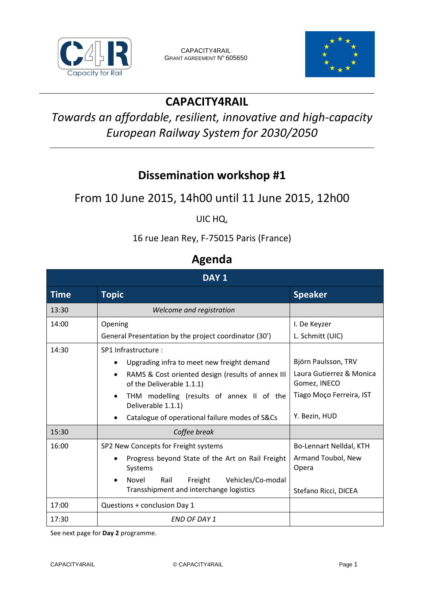



# **CAPACITY4RAIL**

# *Towards an affordable, resilient, innovative and high-capacity European Railway System for 2030/2050*

## **Dissemination workshop #1**

### From 10 June 2015, 14h00 until 11 June 2015, 12h00

UIC HQ,

16 rue Jean Rey, F-75015 Paris (France)

#### **Agenda**

| DAY <sub>1</sub> |                                                                                                                                                                                                                                                                                                                               |                                                                                                              |
|------------------|-------------------------------------------------------------------------------------------------------------------------------------------------------------------------------------------------------------------------------------------------------------------------------------------------------------------------------|--------------------------------------------------------------------------------------------------------------|
| Time             | <b>Topic</b>                                                                                                                                                                                                                                                                                                                  | <b>Speaker</b>                                                                                               |
| 13:30            | Welcome and registration                                                                                                                                                                                                                                                                                                      |                                                                                                              |
| 14:00            | Opening<br>General Presentation by the project coordinator (30')                                                                                                                                                                                                                                                              | I. De Keyzer<br>L. Schmitt (UIC)                                                                             |
| 14:30            | SP1 Infrastructure :<br>Upgrading infra to meet new freight demand<br>$\bullet$<br>RAMS & Cost oriented design (results of annex III<br>$\bullet$<br>of the Deliverable 1.1.1)<br>THM modelling (results of annex II of the<br>$\bullet$<br>Deliverable 1.1.1)<br>Catalogue of operational failure modes of S&Cs<br>$\bullet$ | Björn Paulsson, TRV<br>Laura Gutierrez & Monica<br>Gomez, INECO<br>Tiago Moço Ferreira, IST<br>Y. Bezin, HUD |
| 15:30            | Coffee break                                                                                                                                                                                                                                                                                                                  |                                                                                                              |
| 16:00            | SP2 New Concepts for Freight systems<br>Progress beyond State of the Art on Rail Freight<br>$\bullet$<br>Systems<br>Freight<br>Vehicles/Co-modal<br>Novel<br>Rail<br>$\bullet$<br>Transshipment and interchange logistics                                                                                                     | Bo-Lennart Nelldal, KTH<br>Armand Toubol, New<br>Opera<br>Stefano Ricci, DICEA                               |
| 17:00            | Questions + conclusion Day 1                                                                                                                                                                                                                                                                                                  |                                                                                                              |
| 17:30            | <b>END OF DAY 1</b>                                                                                                                                                                                                                                                                                                           |                                                                                                              |

See next page for **Day 2** programme.